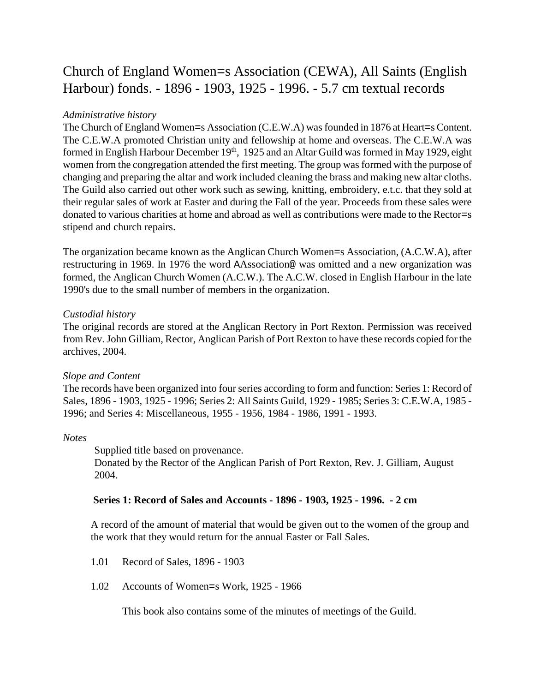# Church of England Women=s Association (CEWA), All Saints (English Harbour) fonds. - 1896 - 1903, 1925 - 1996. - 5.7 cm textual records

## *Administrative history*

The Church of England Women=s Association (C.E.W.A) was founded in 1876 at Heart=s Content. The C.E.W.A promoted Christian unity and fellowship at home and overseas. The C.E.W.A was formed in English Harbour December 19<sup>th</sup>, 1925 and an Altar Guild was formed in May 1929, eight women from the congregation attended the first meeting. The group was formed with the purpose of changing and preparing the altar and work included cleaning the brass and making new altar cloths. The Guild also carried out other work such as sewing, knitting, embroidery, e.t.c. that they sold at their regular sales of work at Easter and during the Fall of the year. Proceeds from these sales were donated to various charities at home and abroad as well as contributions were made to the Rector=s stipend and church repairs.

The organization became known as the Anglican Church Women=s Association, (A.C.W.A), after restructuring in 1969. In 1976 the word AAssociation@ was omitted and a new organization was formed, the Anglican Church Women (A.C.W.). The A.C.W. closed in English Harbour in the late 1990's due to the small number of members in the organization.

## *Custodial history*

The original records are stored at the Anglican Rectory in Port Rexton. Permission was received from Rev. John Gilliam, Rector, Anglican Parish of Port Rexton to have these records copied for the archives, 2004.

## *Slope and Content*

The records have been organized into four series according to form and function: Series 1: Record of Sales, 1896 - 1903, 1925 - 1996; Series 2: All Saints Guild, 1929 - 1985; Series 3: C.E.W.A, 1985 - 1996; and Series 4: Miscellaneous, 1955 - 1956, 1984 - 1986, 1991 - 1993.

### *Notes*

Supplied title based on provenance. Donated by the Rector of the Anglican Parish of Port Rexton, Rev. J. Gilliam, August 2004.

## **Series 1: Record of Sales and Accounts - 1896 - 1903, 1925 - 1996. - 2 cm**

A record of the amount of material that would be given out to the women of the group and the work that they would return for the annual Easter or Fall Sales.

- 1.01 Record of Sales, 1896 1903
- 1.02 Accounts of Women=s Work, 1925 1966

This book also contains some of the minutes of meetings of the Guild.